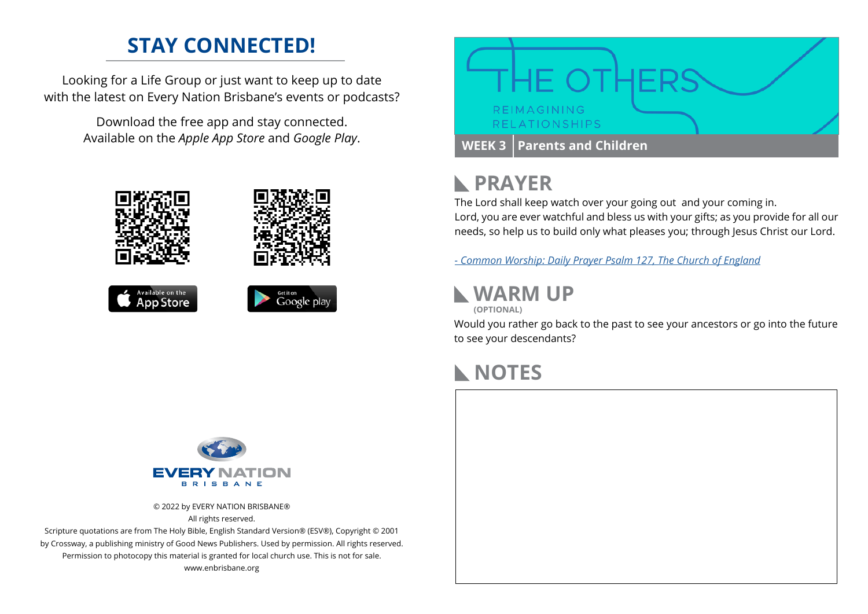## **STAY CONNECTED!**

Looking for a Life Group or just want to keep up to date with the latest on Every Nation Brisbane's events or podcasts?

> Download the free app and stay connected. Available on the *Apple App Store* and *Google Play*.











## **PRAYER**

The Lord shall keep watch over your going out and your coming in. Lord, you are ever watchful and bless us with your gifts; as you provide for all our needs, so help us to build only what pleases you; through Jesus Christ our Lord.

*[- C](https://www.churchofengland.org/prayer-and-worship/worship-texts-and-resources/common-worship/daily-prayer/psalter/psalm-127)ommon Worship: Daily Prayer Psalm 127, The Church of England*

### **WARM UP**

**(OPTIONAL)**

Would you rather go back to the past to see your ancestors or go into the future to see your descendants?

## **NOTES**



© 2022 by EVERY NATION BRISBANE® All rights reserved.

Scripture quotations are from The Holy Bible, English Standard Version® (ESV®), Copyright © 2001 by Crossway, a publishing ministry of Good News Publishers. Used by permission. All rights reserved. Permission to photocopy this material is granted for local church use. This is not for sale. www.enbrisbane.org